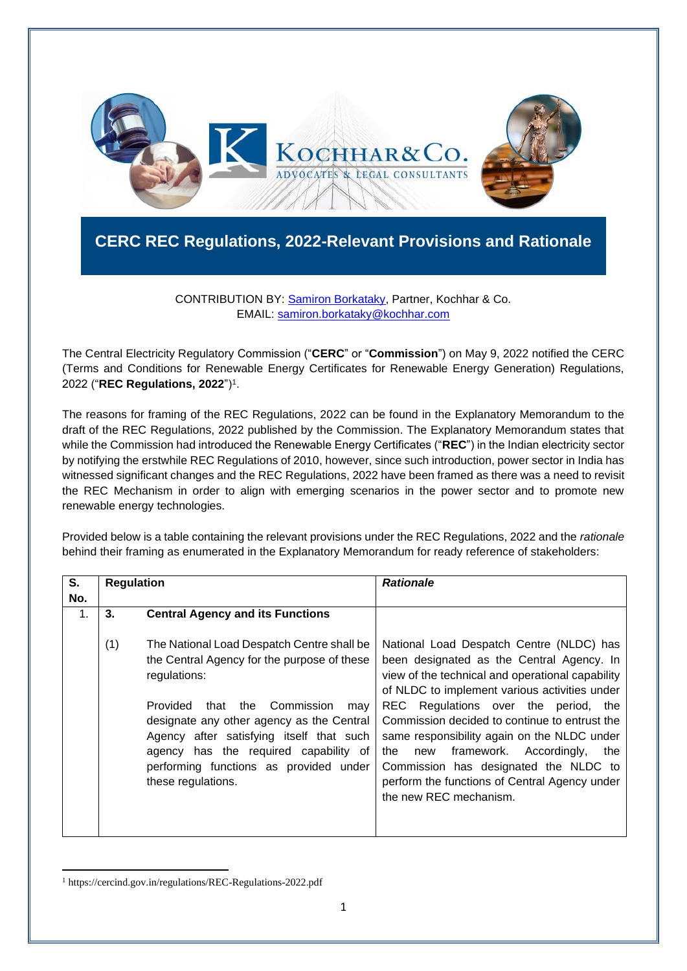

## **CERC REC Regulations, 2022-Relevant Provisions and Rationale**

## CONTRIBUTION BY: [Samiron Borkataky,](https://kochhar.com/people/samiron-borkataky/) Partner, Kochhar & Co. EMAIL: [samiron.borkataky@kochhar.com](mailto:samiron.borkataky@kochhar.com)

The Central Electricity Regulatory Commission ("**CERC**" or "**Commission**") on May 9, 2022 notified the CERC (Terms and Conditions for Renewable Energy Certificates for Renewable Energy Generation) Regulations, 2022 ("**REC Regulations, 2022**")<sup>1</sup> .

The reasons for framing of the REC Regulations, 2022 can be found in the Explanatory Memorandum to the draft of the REC Regulations, 2022 published by the Commission. The Explanatory Memorandum states that while the Commission had introduced the Renewable Energy Certificates ("**REC**") in the Indian electricity sector by notifying the erstwhile REC Regulations of 2010, however, since such introduction, power sector in India has witnessed significant changes and the REC Regulations, 2022 have been framed as there was a need to revisit the REC Mechanism in order to align with emerging scenarios in the power sector and to promote new renewable energy technologies.

Provided below is a table containing the relevant provisions under the REC Regulations, 2022 and the *rationale* behind their framing as enumerated in the Explanatory Memorandum for ready reference of stakeholders:

| S.  | <b>Regulation</b> |                                                                                                                                                                                                                                                                                                                                                             | <b>Rationale</b>                                                                                                                                                                                                                                                                                                                                                                                                                                                                                           |
|-----|-------------------|-------------------------------------------------------------------------------------------------------------------------------------------------------------------------------------------------------------------------------------------------------------------------------------------------------------------------------------------------------------|------------------------------------------------------------------------------------------------------------------------------------------------------------------------------------------------------------------------------------------------------------------------------------------------------------------------------------------------------------------------------------------------------------------------------------------------------------------------------------------------------------|
| No. |                   |                                                                                                                                                                                                                                                                                                                                                             |                                                                                                                                                                                                                                                                                                                                                                                                                                                                                                            |
| 1.  | 3.                | <b>Central Agency and its Functions</b>                                                                                                                                                                                                                                                                                                                     |                                                                                                                                                                                                                                                                                                                                                                                                                                                                                                            |
|     | (1)               | The National Load Despatch Centre shall be<br>the Central Agency for the purpose of these<br>regulations:<br>Provided<br>Commission<br>that<br>the<br>may<br>designate any other agency as the Central<br>Agency after satisfying itself that such<br>agency has the required capability of<br>performing functions as provided under<br>these regulations. | National Load Despatch Centre (NLDC) has<br>been designated as the Central Agency. In<br>view of the technical and operational capability<br>of NLDC to implement various activities under<br>Regulations over the period, the<br>REC.<br>Commission decided to continue to entrust the<br>same responsibility again on the NLDC under<br>framework. Accordingly,<br>the<br>the<br>new<br>Commission has designated the NLDC to<br>perform the functions of Central Agency under<br>the new REC mechanism. |

<sup>1</sup> https://cercind.gov.in/regulations/REC-Regulations-2022.pdf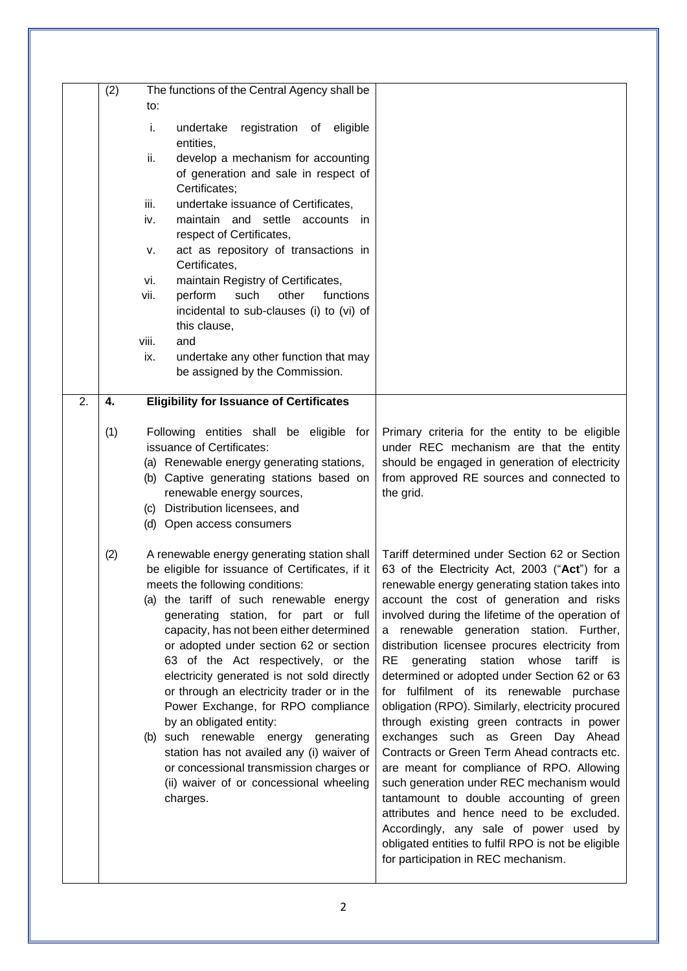|    | (2) | The functions of the Central Agency shall be                                          |                                                                                             |
|----|-----|---------------------------------------------------------------------------------------|---------------------------------------------------------------------------------------------|
|    |     | to:                                                                                   |                                                                                             |
|    |     | i.<br>undertake<br>registration of eligible<br>entities,                              |                                                                                             |
|    |     | ii.<br>develop a mechanism for accounting                                             |                                                                                             |
|    |     | of generation and sale in respect of                                                  |                                                                                             |
|    |     | Certificates;                                                                         |                                                                                             |
|    |     | iii.<br>undertake issuance of Certificates,                                           |                                                                                             |
|    |     | iv.<br>maintain and settle accounts<br>- in<br>respect of Certificates,               |                                                                                             |
|    |     | act as repository of transactions in<br>v.                                            |                                                                                             |
|    |     | Certificates,                                                                         |                                                                                             |
|    |     | maintain Registry of Certificates,<br>vi.                                             |                                                                                             |
|    |     | vii.<br>perform<br>such<br>other<br>functions                                         |                                                                                             |
|    |     | incidental to sub-clauses (i) to (vi) of                                              |                                                                                             |
|    |     | this clause,                                                                          |                                                                                             |
|    |     | viii.<br>and<br>undertake any other function that may<br>ix.                          |                                                                                             |
|    |     | be assigned by the Commission.                                                        |                                                                                             |
|    |     |                                                                                       |                                                                                             |
| 2. | 4.  | <b>Eligibility for Issuance of Certificates</b>                                       |                                                                                             |
|    |     |                                                                                       |                                                                                             |
|    | (1) | Following entities shall be eligible for                                              | Primary criteria for the entity to be eligible                                              |
|    |     | issuance of Certificates:                                                             | under REC mechanism are that the entity                                                     |
|    |     | (a) Renewable energy generating stations,<br>(b) Captive generating stations based on | should be engaged in generation of electricity<br>from approved RE sources and connected to |
|    |     | renewable energy sources,                                                             | the grid.                                                                                   |
|    |     | (c) Distribution licensees, and                                                       |                                                                                             |
|    |     | (d) Open access consumers                                                             |                                                                                             |
|    |     |                                                                                       |                                                                                             |
|    | (2) | A renewable energy generating station shall                                           | Tariff determined under Section 62 or Section                                               |
|    |     | be eligible for issuance of Certificates, if it<br>meets the following conditions:    | 63 of the Electricity Act, 2003 ("Act") for a                                               |
|    |     | (a) the tariff of such renewable energy                                               | renewable energy generating station takes into<br>account the cost of generation and risks  |
|    |     | generating station, for part or full                                                  | involved during the lifetime of the operation of                                            |
|    |     | capacity, has not been either determined                                              | renewable generation station. Further,<br>a                                                 |
|    |     | or adopted under section 62 or section                                                | distribution licensee procures electricity from                                             |
|    |     | 63 of the Act respectively, or the                                                    | RE<br>generating station whose tariff is                                                    |
|    |     | electricity generated is not sold directly                                            | determined or adopted under Section 62 or 63                                                |
|    |     | or through an electricity trader or in the                                            | for fulfilment of its renewable purchase                                                    |
|    |     | Power Exchange, for RPO compliance                                                    | obligation (RPO). Similarly, electricity procured                                           |
|    |     | by an obligated entity:                                                               | through existing green contracts in power<br>exchanges such as Green Day Ahead              |
|    |     | (b) such renewable energy generating<br>station has not availed any (i) waiver of     | Contracts or Green Term Ahead contracts etc.                                                |
|    |     | or concessional transmission charges or                                               | are meant for compliance of RPO. Allowing                                                   |
|    |     | (ii) waiver of or concessional wheeling                                               | such generation under REC mechanism would                                                   |
|    |     | charges.                                                                              | tantamount to double accounting of green                                                    |
|    |     |                                                                                       | attributes and hence need to be excluded.                                                   |
|    |     |                                                                                       | Accordingly, any sale of power used by                                                      |
|    |     |                                                                                       | obligated entities to fulfil RPO is not be eligible                                         |
|    |     |                                                                                       | for participation in REC mechanism.                                                         |
|    |     |                                                                                       |                                                                                             |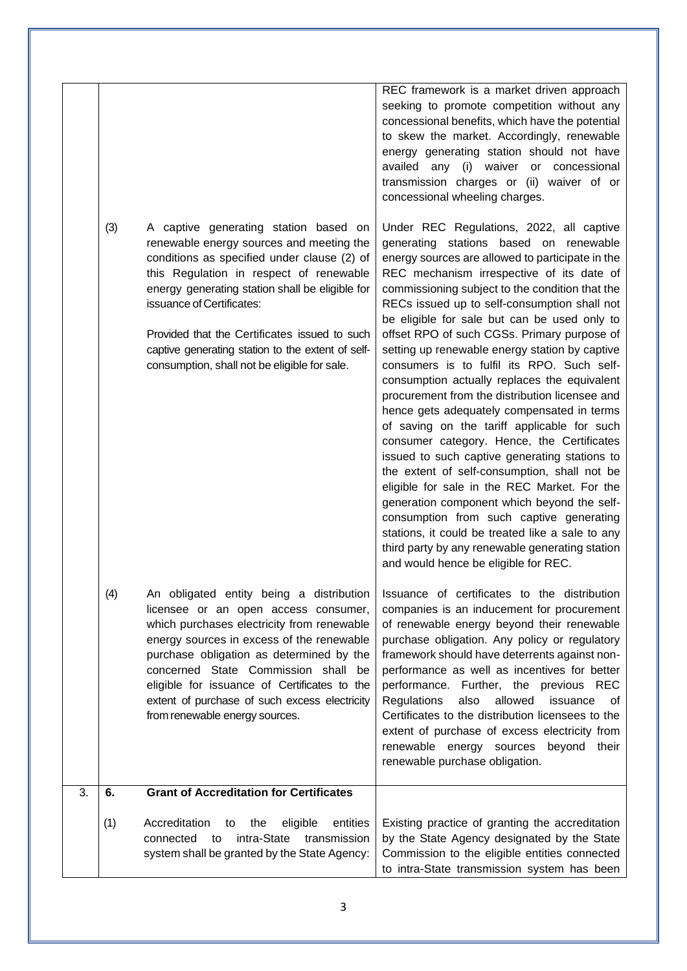|    | (3) | A captive generating station based on<br>renewable energy sources and meeting the<br>conditions as specified under clause (2) of<br>this Regulation in respect of renewable<br>energy generating station shall be eligible for<br>issuance of Certificates:<br>Provided that the Certificates issued to such<br>captive generating station to the extent of self-                                 | REC framework is a market driven approach<br>seeking to promote competition without any<br>concessional benefits, which have the potential<br>to skew the market. Accordingly, renewable<br>energy generating station should not have<br>availed any (i) waiver or concessional<br>transmission charges or (ii) waiver of or<br>concessional wheeling charges.<br>Under REC Regulations, 2022, all captive<br>generating stations<br>based on renewable<br>energy sources are allowed to participate in the<br>REC mechanism irrespective of its date of<br>commissioning subject to the condition that the<br>RECs issued up to self-consumption shall not<br>be eligible for sale but can be used only to<br>offset RPO of such CGSs. Primary purpose of<br>setting up renewable energy station by captive |
|----|-----|---------------------------------------------------------------------------------------------------------------------------------------------------------------------------------------------------------------------------------------------------------------------------------------------------------------------------------------------------------------------------------------------------|--------------------------------------------------------------------------------------------------------------------------------------------------------------------------------------------------------------------------------------------------------------------------------------------------------------------------------------------------------------------------------------------------------------------------------------------------------------------------------------------------------------------------------------------------------------------------------------------------------------------------------------------------------------------------------------------------------------------------------------------------------------------------------------------------------------|
|    |     | consumption, shall not be eligible for sale.                                                                                                                                                                                                                                                                                                                                                      | consumers is to fulfil its RPO. Such self-<br>consumption actually replaces the equivalent<br>procurement from the distribution licensee and<br>hence gets adequately compensated in terms<br>of saving on the tariff applicable for such<br>consumer category. Hence, the Certificates<br>issued to such captive generating stations to<br>the extent of self-consumption, shall not be<br>eligible for sale in the REC Market. For the<br>generation component which beyond the self-<br>consumption from such captive generating<br>stations, it could be treated like a sale to any<br>third party by any renewable generating station<br>and would hence be eligible for REC.                                                                                                                           |
|    | (4) | An obligated entity being a distribution<br>licensee or an open access consumer,<br>which purchases electricity from renewable<br>energy sources in excess of the renewable<br>purchase obligation as determined by the<br>concerned State Commission shall be<br>eligible for issuance of Certificates to the<br>extent of purchase of such excess electricity<br>from renewable energy sources. | Issuance of certificates to the distribution<br>companies is an inducement for procurement<br>of renewable energy beyond their renewable<br>purchase obligation. Any policy or regulatory<br>framework should have deterrents against non-<br>performance as well as incentives for better<br>performance. Further, the previous REC<br>allowed<br>Regulations<br>also<br>issuance<br>οf<br>Certificates to the distribution licensees to the<br>extent of purchase of excess electricity from<br>renewable energy sources beyond<br>their<br>renewable purchase obligation.                                                                                                                                                                                                                                 |
| 3. | 6.  | <b>Grant of Accreditation for Certificates</b>                                                                                                                                                                                                                                                                                                                                                    |                                                                                                                                                                                                                                                                                                                                                                                                                                                                                                                                                                                                                                                                                                                                                                                                              |
|    | (1) | Accreditation<br>the<br>eligible<br>entities<br>to<br>intra-State<br>transmission<br>connected<br>to<br>system shall be granted by the State Agency:                                                                                                                                                                                                                                              | Existing practice of granting the accreditation<br>by the State Agency designated by the State<br>Commission to the eligible entities connected<br>to intra-State transmission system has been                                                                                                                                                                                                                                                                                                                                                                                                                                                                                                                                                                                                               |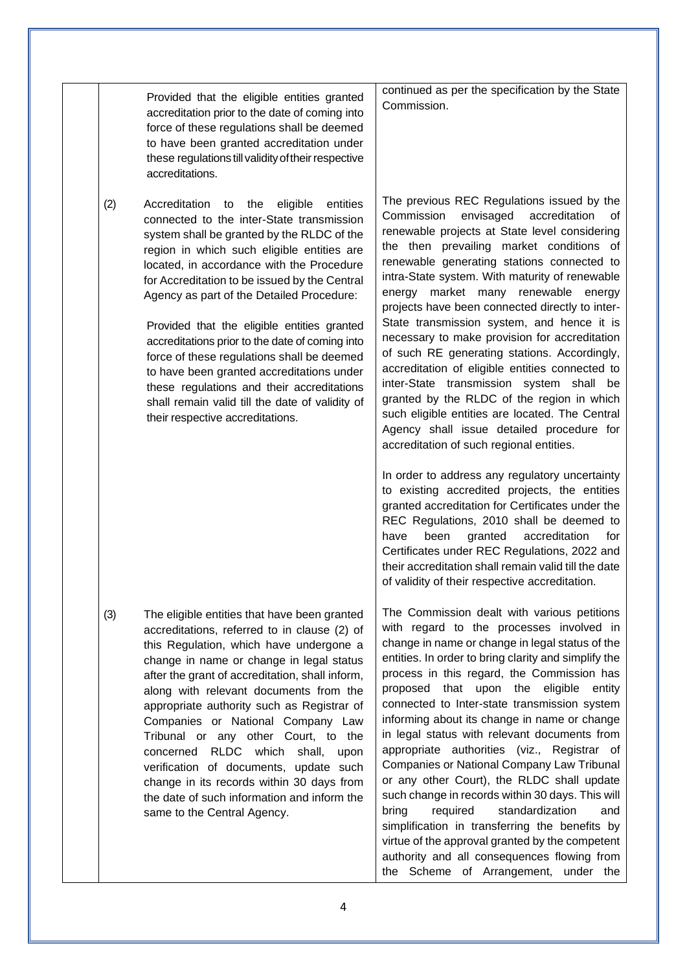|     | Provided that the eligible entities granted<br>accreditation prior to the date of coming into<br>force of these regulations shall be deemed<br>to have been granted accreditation under<br>these regulations till validity of their respective<br>accreditations.                                                                                                                                                                                                                                                                                                                                                                                                  | continued as per the specification by the State<br>Commission.                                                                                                                                                                                                                                                                                                                                                                                                                                                                                                                                                                                                                                                                                                                                                                                                                                                                                                                                                                                                                                                                                                                                                                                 |
|-----|--------------------------------------------------------------------------------------------------------------------------------------------------------------------------------------------------------------------------------------------------------------------------------------------------------------------------------------------------------------------------------------------------------------------------------------------------------------------------------------------------------------------------------------------------------------------------------------------------------------------------------------------------------------------|------------------------------------------------------------------------------------------------------------------------------------------------------------------------------------------------------------------------------------------------------------------------------------------------------------------------------------------------------------------------------------------------------------------------------------------------------------------------------------------------------------------------------------------------------------------------------------------------------------------------------------------------------------------------------------------------------------------------------------------------------------------------------------------------------------------------------------------------------------------------------------------------------------------------------------------------------------------------------------------------------------------------------------------------------------------------------------------------------------------------------------------------------------------------------------------------------------------------------------------------|
| (2) | Accreditation to the<br>eligible<br>entities<br>connected to the inter-State transmission<br>system shall be granted by the RLDC of the<br>region in which such eligible entities are<br>located, in accordance with the Procedure<br>for Accreditation to be issued by the Central<br>Agency as part of the Detailed Procedure:<br>Provided that the eligible entities granted<br>accreditations prior to the date of coming into<br>force of these regulations shall be deemed<br>to have been granted accreditations under<br>these regulations and their accreditations<br>shall remain valid till the date of validity of<br>their respective accreditations. | The previous REC Regulations issued by the<br>Commission<br>envisaged<br>accreditation<br>of<br>renewable projects at State level considering<br>the then prevailing market conditions of<br>renewable generating stations connected to<br>intra-State system. With maturity of renewable<br>energy market many renewable<br>energy<br>projects have been connected directly to inter-<br>State transmission system, and hence it is<br>necessary to make provision for accreditation<br>of such RE generating stations. Accordingly,<br>accreditation of eligible entities connected to<br>inter-State transmission system shall be<br>granted by the RLDC of the region in which<br>such eligible entities are located. The Central<br>Agency shall issue detailed procedure for<br>accreditation of such regional entities.<br>In order to address any regulatory uncertainty<br>to existing accredited projects, the entities<br>granted accreditation for Certificates under the<br>REC Regulations, 2010 shall be deemed to<br>been<br>accreditation<br>granted<br>for<br>have<br>Certificates under REC Regulations, 2022 and<br>their accreditation shall remain valid till the date<br>of validity of their respective accreditation. |
| (3) | The eligible entities that have been granted<br>accreditations, referred to in clause (2) of<br>this Regulation, which have undergone a<br>change in name or change in legal status<br>after the grant of accreditation, shall inform,<br>along with relevant documents from the<br>appropriate authority such as Registrar of<br>Companies or National Company Law<br>Tribunal or any other Court, to the<br>concerned RLDC which<br>shall,<br>upon<br>verification of documents, update such<br>change in its records within 30 days from<br>the date of such information and inform the<br>same to the Central Agency.                                          | The Commission dealt with various petitions<br>with regard to the processes involved in<br>change in name or change in legal status of the<br>entities. In order to bring clarity and simplify the<br>process in this regard, the Commission has<br>eligible<br>proposed that upon<br>the<br>entity<br>connected to Inter-state transmission system<br>informing about its change in name or change<br>in legal status with relevant documents from<br>appropriate authorities (viz., Registrar of<br>Companies or National Company Law Tribunal<br>or any other Court), the RLDC shall update<br>such change in records within 30 days. This will<br>standardization<br>bring<br>required<br>and<br>simplification in transferring the benefits by<br>virtue of the approval granted by the competent<br>authority and all consequences flowing from<br>the Scheme of Arrangement, under the                                                                                                                                                                                                                                                                                                                                                  |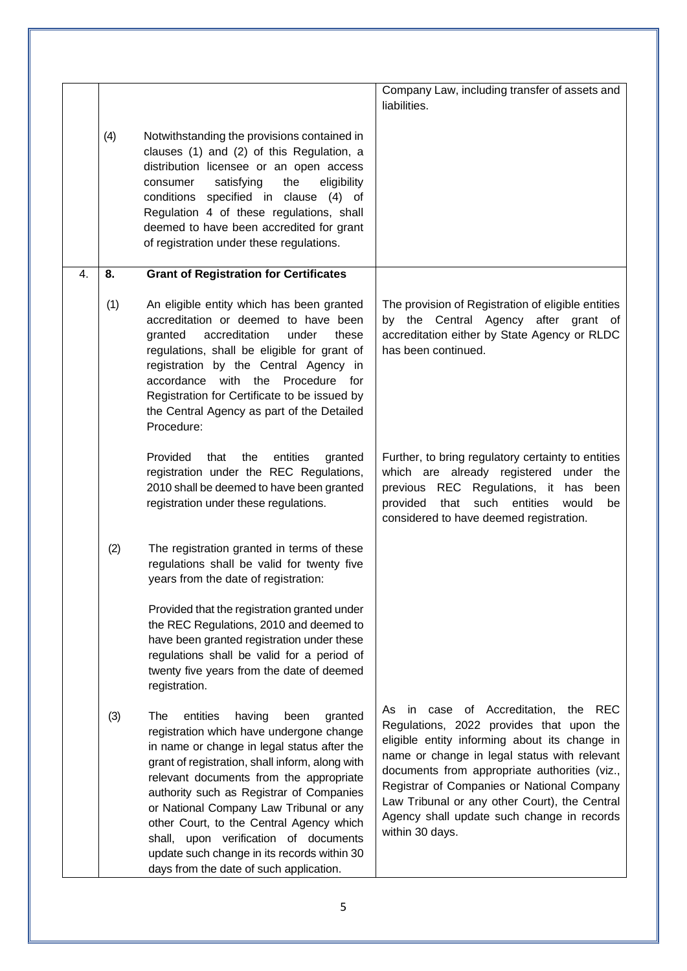|    |     |                                                                                                                                                                                                                                                                                                                                                                                                                                                                                                             | Company Law, including transfer of assets and<br>liabilities.                                                                                                                                                                                                                                                                                                                                      |
|----|-----|-------------------------------------------------------------------------------------------------------------------------------------------------------------------------------------------------------------------------------------------------------------------------------------------------------------------------------------------------------------------------------------------------------------------------------------------------------------------------------------------------------------|----------------------------------------------------------------------------------------------------------------------------------------------------------------------------------------------------------------------------------------------------------------------------------------------------------------------------------------------------------------------------------------------------|
|    | (4) | Notwithstanding the provisions contained in<br>clauses (1) and (2) of this Regulation, a<br>distribution licensee or an open access<br>satisfying<br>the<br>eligibility<br>consumer<br>conditions specified in clause (4) of<br>Regulation 4 of these regulations, shall<br>deemed to have been accredited for grant<br>of registration under these regulations.                                                                                                                                            |                                                                                                                                                                                                                                                                                                                                                                                                    |
| 4. | 8.  | <b>Grant of Registration for Certificates</b>                                                                                                                                                                                                                                                                                                                                                                                                                                                               |                                                                                                                                                                                                                                                                                                                                                                                                    |
|    | (1) | An eligible entity which has been granted<br>accreditation or deemed to have been<br>accreditation<br>under<br>granted<br>these<br>regulations, shall be eligible for grant of<br>registration by the Central Agency in<br>accordance with the Procedure for<br>Registration for Certificate to be issued by<br>the Central Agency as part of the Detailed<br>Procedure:                                                                                                                                    | The provision of Registration of eligible entities<br>by the Central Agency after grant of<br>accreditation either by State Agency or RLDC<br>has been continued.                                                                                                                                                                                                                                  |
|    |     | Provided<br>that<br>the<br>entities<br>granted<br>registration under the REC Regulations,<br>2010 shall be deemed to have been granted<br>registration under these regulations.                                                                                                                                                                                                                                                                                                                             | Further, to bring regulatory certainty to entities<br>which are already registered under the<br>previous REC Regulations, it has been<br>that such entities<br>would<br>provided<br>be<br>considered to have deemed registration.                                                                                                                                                                  |
|    | (2) | The registration granted in terms of these<br>regulations shall be valid for twenty five<br>years from the date of registration:                                                                                                                                                                                                                                                                                                                                                                            |                                                                                                                                                                                                                                                                                                                                                                                                    |
|    |     | Provided that the registration granted under<br>the REC Regulations, 2010 and deemed to<br>have been granted registration under these<br>regulations shall be valid for a period of<br>twenty five years from the date of deemed<br>registration.                                                                                                                                                                                                                                                           |                                                                                                                                                                                                                                                                                                                                                                                                    |
|    | (3) | The<br>entities<br>having<br>granted<br>been<br>registration which have undergone change<br>in name or change in legal status after the<br>grant of registration, shall inform, along with<br>relevant documents from the appropriate<br>authority such as Registrar of Companies<br>or National Company Law Tribunal or any<br>other Court, to the Central Agency which<br>shall, upon verification of documents<br>update such change in its records within 30<br>days from the date of such application. | As in case of Accreditation, the REC<br>Regulations, 2022 provides that upon the<br>eligible entity informing about its change in<br>name or change in legal status with relevant<br>documents from appropriate authorities (viz.,<br>Registrar of Companies or National Company<br>Law Tribunal or any other Court), the Central<br>Agency shall update such change in records<br>within 30 days. |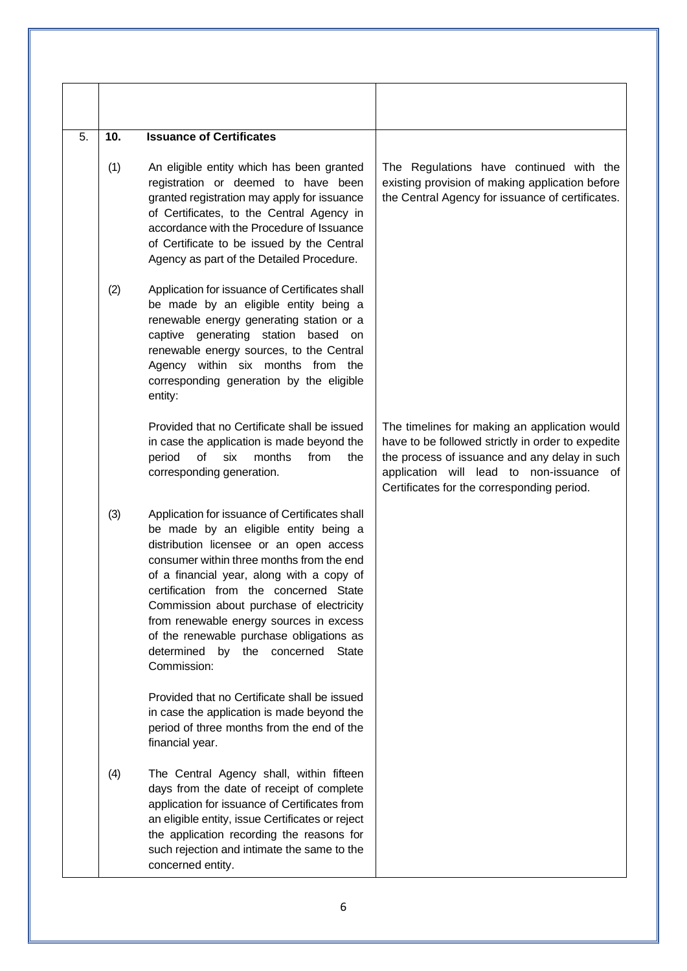| 5. | 10. | <b>Issuance of Certificates</b>                                                                                                                                                                                                                                                                                                                                                                                                                                                  |                                                                                                                                                                                                                                               |
|----|-----|----------------------------------------------------------------------------------------------------------------------------------------------------------------------------------------------------------------------------------------------------------------------------------------------------------------------------------------------------------------------------------------------------------------------------------------------------------------------------------|-----------------------------------------------------------------------------------------------------------------------------------------------------------------------------------------------------------------------------------------------|
|    | (1) | An eligible entity which has been granted<br>registration or deemed to have been<br>granted registration may apply for issuance<br>of Certificates, to the Central Agency in<br>accordance with the Procedure of Issuance<br>of Certificate to be issued by the Central<br>Agency as part of the Detailed Procedure.                                                                                                                                                             | The Regulations have continued with the<br>existing provision of making application before<br>the Central Agency for issuance of certificates.                                                                                                |
|    | (2) | Application for issuance of Certificates shall<br>be made by an eligible entity being a<br>renewable energy generating station or a<br>captive generating station based on<br>renewable energy sources, to the Central<br>Agency within six months from the<br>corresponding generation by the eligible<br>entity:                                                                                                                                                               |                                                                                                                                                                                                                                               |
|    |     | Provided that no Certificate shall be issued<br>in case the application is made beyond the<br>of<br>six<br>months<br>from<br>period<br>the<br>corresponding generation.                                                                                                                                                                                                                                                                                                          | The timelines for making an application would<br>have to be followed strictly in order to expedite<br>the process of issuance and any delay in such<br>application will lead to non-issuance of<br>Certificates for the corresponding period. |
|    | (3) | Application for issuance of Certificates shall<br>be made by an eligible entity being a<br>distribution licensee or an open access<br>consumer within three months from the end<br>of a financial year, along with a copy of<br>certification from the concerned State<br>Commission about purchase of electricity<br>from renewable energy sources in excess<br>of the renewable purchase obligations as<br>determined<br>by<br>the<br>concerned<br><b>State</b><br>Commission: |                                                                                                                                                                                                                                               |
|    |     | Provided that no Certificate shall be issued<br>in case the application is made beyond the<br>period of three months from the end of the<br>financial year.                                                                                                                                                                                                                                                                                                                      |                                                                                                                                                                                                                                               |
|    | (4) | The Central Agency shall, within fifteen<br>days from the date of receipt of complete<br>application for issuance of Certificates from<br>an eligible entity, issue Certificates or reject<br>the application recording the reasons for<br>such rejection and intimate the same to the<br>concerned entity.                                                                                                                                                                      |                                                                                                                                                                                                                                               |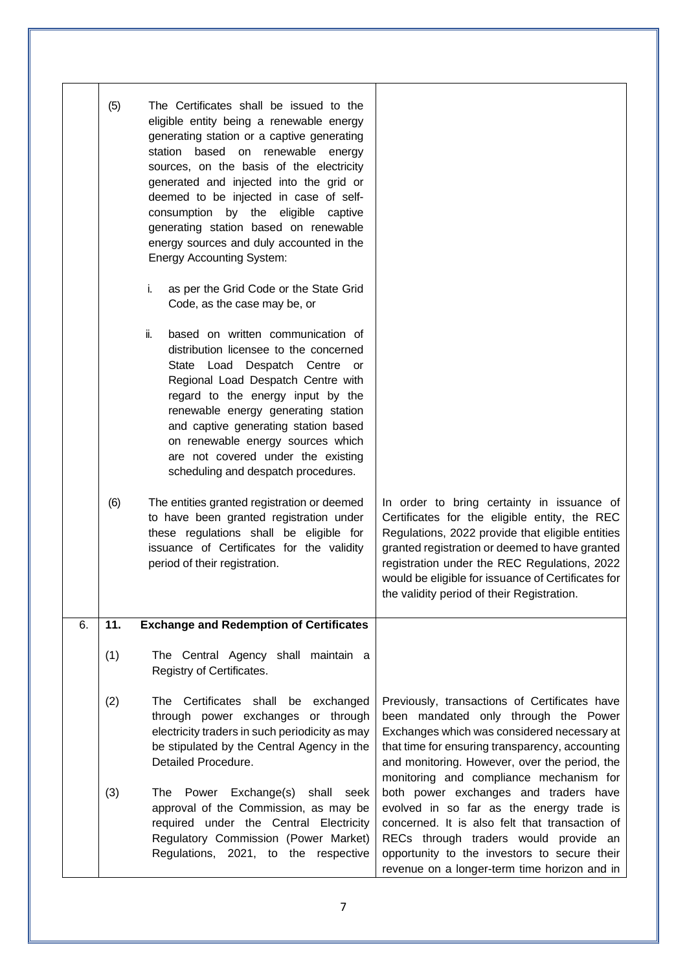|    | (5) | The Certificates shall be issued to the<br>eligible entity being a renewable energy<br>generating station or a captive generating<br>station based on renewable energy<br>sources, on the basis of the electricity<br>generated and injected into the grid or<br>deemed to be injected in case of self-<br>consumption by the eligible captive<br>generating station based on renewable<br>energy sources and duly accounted in the<br><b>Energy Accounting System:</b> |                                                                                                                                                                                                                                                                                                         |
|----|-----|-------------------------------------------------------------------------------------------------------------------------------------------------------------------------------------------------------------------------------------------------------------------------------------------------------------------------------------------------------------------------------------------------------------------------------------------------------------------------|---------------------------------------------------------------------------------------------------------------------------------------------------------------------------------------------------------------------------------------------------------------------------------------------------------|
|    |     | as per the Grid Code or the State Grid<br>i.<br>Code, as the case may be, or                                                                                                                                                                                                                                                                                                                                                                                            |                                                                                                                                                                                                                                                                                                         |
|    | (6) | ii.<br>based on written communication of<br>distribution licensee to the concerned<br>State Load Despatch Centre or<br>Regional Load Despatch Centre with<br>regard to the energy input by the<br>renewable energy generating station<br>and captive generating station based<br>on renewable energy sources which<br>are not covered under the existing<br>scheduling and despatch procedures.<br>The entities granted registration or deemed                          | In order to bring certainty in issuance of                                                                                                                                                                                                                                                              |
|    |     | to have been granted registration under<br>these regulations shall be eligible for<br>issuance of Certificates for the validity<br>period of their registration.                                                                                                                                                                                                                                                                                                        | Certificates for the eligible entity, the REC<br>Regulations, 2022 provide that eligible entities<br>granted registration or deemed to have granted<br>registration under the REC Regulations, 2022<br>would be eligible for issuance of Certificates for<br>the validity period of their Registration. |
| 6. | 11. | <b>Exchange and Redemption of Certificates</b>                                                                                                                                                                                                                                                                                                                                                                                                                          |                                                                                                                                                                                                                                                                                                         |
|    | (1) | The Central Agency shall maintain a<br>Registry of Certificates.                                                                                                                                                                                                                                                                                                                                                                                                        |                                                                                                                                                                                                                                                                                                         |
|    | (2) | The Certificates shall be exchanged<br>through power exchanges or through<br>electricity traders in such periodicity as may<br>be stipulated by the Central Agency in the<br>Detailed Procedure.                                                                                                                                                                                                                                                                        | Previously, transactions of Certificates have<br>been mandated only through the Power<br>Exchanges which was considered necessary at<br>that time for ensuring transparency, accounting<br>and monitoring. However, over the period, the<br>monitoring and compliance mechanism for                     |
|    | (3) | Power Exchange(s) shall seek<br>The<br>approval of the Commission, as may be<br>required under the Central Electricity<br>Regulatory Commission (Power Market)<br>Regulations, 2021, to the respective                                                                                                                                                                                                                                                                  | both power exchanges and traders have<br>evolved in so far as the energy trade is<br>concerned. It is also felt that transaction of<br>RECs through traders would provide an<br>opportunity to the investors to secure their<br>revenue on a longer-term time horizon and in                            |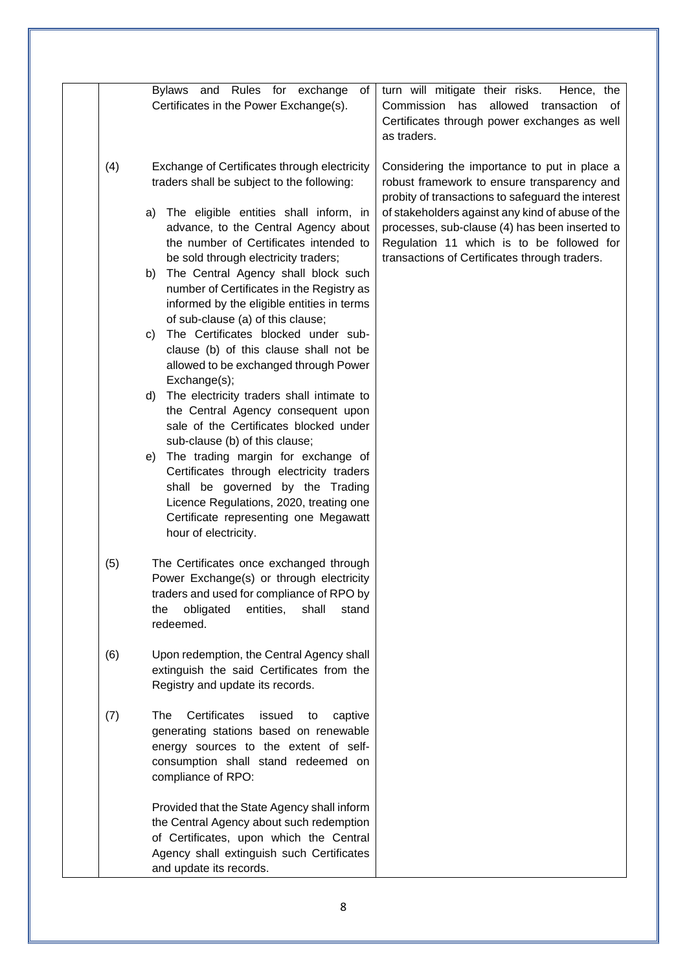|     | Bylaws and Rules for exchange<br>of<br>Certificates in the Power Exchange(s).                                                                                                                                                                                                                                                                                                                                                                                                                                                                                                                                                                                                                                                                                                                                                                                                                                                                                                                                  | turn will mitigate their risks.<br>Hence, the<br>allowed transaction of<br>Commission has<br>Certificates through power exchanges as well<br>as traders.                                                                                                                                                                                             |
|-----|----------------------------------------------------------------------------------------------------------------------------------------------------------------------------------------------------------------------------------------------------------------------------------------------------------------------------------------------------------------------------------------------------------------------------------------------------------------------------------------------------------------------------------------------------------------------------------------------------------------------------------------------------------------------------------------------------------------------------------------------------------------------------------------------------------------------------------------------------------------------------------------------------------------------------------------------------------------------------------------------------------------|------------------------------------------------------------------------------------------------------------------------------------------------------------------------------------------------------------------------------------------------------------------------------------------------------------------------------------------------------|
| (4) | Exchange of Certificates through electricity<br>traders shall be subject to the following:<br>The eligible entities shall inform, in<br>a)<br>advance, to the Central Agency about<br>the number of Certificates intended to<br>be sold through electricity traders;<br>The Central Agency shall block such<br>b)<br>number of Certificates in the Registry as<br>informed by the eligible entities in terms<br>of sub-clause (a) of this clause;<br>The Certificates blocked under sub-<br>C)<br>clause (b) of this clause shall not be<br>allowed to be exchanged through Power<br>Exchange(s);<br>The electricity traders shall intimate to<br>d)<br>the Central Agency consequent upon<br>sale of the Certificates blocked under<br>sub-clause (b) of this clause;<br>The trading margin for exchange of<br>e)<br>Certificates through electricity traders<br>shall be governed by the Trading<br>Licence Regulations, 2020, treating one<br>Certificate representing one Megawatt<br>hour of electricity. | Considering the importance to put in place a<br>robust framework to ensure transparency and<br>probity of transactions to safeguard the interest<br>of stakeholders against any kind of abuse of the<br>processes, sub-clause (4) has been inserted to<br>Regulation 11 which is to be followed for<br>transactions of Certificates through traders. |
| (5) | The Certificates once exchanged through<br>Power Exchange(s) or through electricity<br>traders and used for compliance of RPO by<br>shall<br>the<br>obligated<br>entities,<br>stand<br>redeemed.                                                                                                                                                                                                                                                                                                                                                                                                                                                                                                                                                                                                                                                                                                                                                                                                               |                                                                                                                                                                                                                                                                                                                                                      |
| (6) | Upon redemption, the Central Agency shall<br>extinguish the said Certificates from the<br>Registry and update its records.                                                                                                                                                                                                                                                                                                                                                                                                                                                                                                                                                                                                                                                                                                                                                                                                                                                                                     |                                                                                                                                                                                                                                                                                                                                                      |
| (7) | Certificates<br>The<br>issued<br>captive<br>to<br>generating stations based on renewable<br>energy sources to the extent of self-<br>consumption shall stand redeemed on<br>compliance of RPO:                                                                                                                                                                                                                                                                                                                                                                                                                                                                                                                                                                                                                                                                                                                                                                                                                 |                                                                                                                                                                                                                                                                                                                                                      |
|     | Provided that the State Agency shall inform<br>the Central Agency about such redemption<br>of Certificates, upon which the Central<br>Agency shall extinguish such Certificates<br>and update its records.                                                                                                                                                                                                                                                                                                                                                                                                                                                                                                                                                                                                                                                                                                                                                                                                     |                                                                                                                                                                                                                                                                                                                                                      |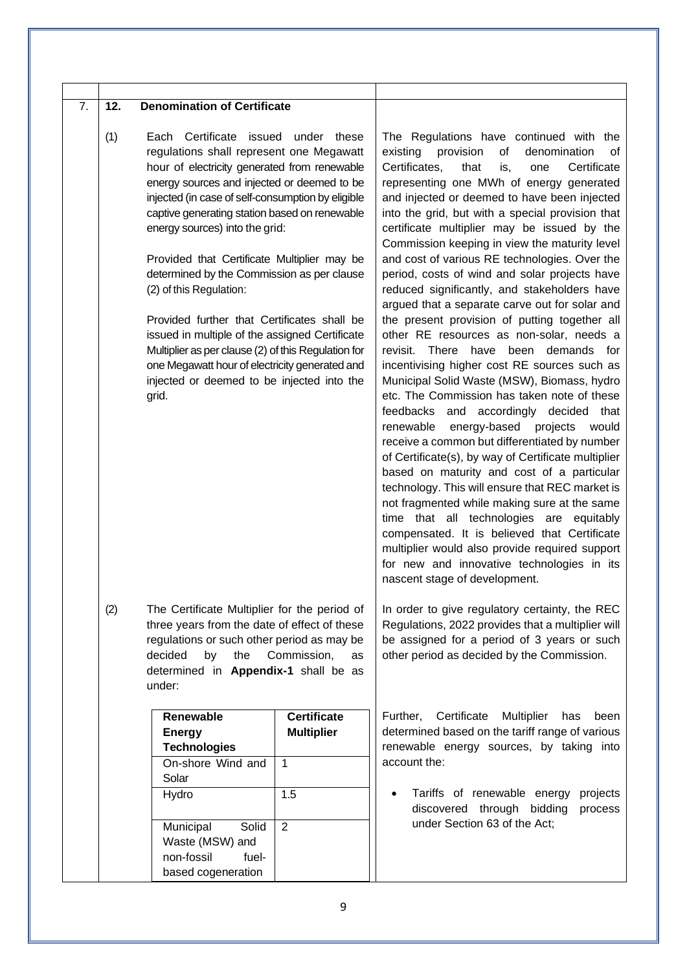| 7.<br>(1) | 12.<br><b>Denomination of Certificate</b><br>Each Certificate issued under these<br>regulations shall represent one Megawatt<br>hour of electricity generated from renewable<br>energy sources and injected or deemed to be<br>injected (in case of self-consumption by eligible<br>captive generating station based on renewable<br>energy sources) into the grid:<br>Provided that Certificate Multiplier may be<br>determined by the Commission as per clause<br>(2) of this Regulation:<br>Provided further that Certificates shall be<br>issued in multiple of the assigned Certificate<br>Multiplier as per clause (2) of this Regulation for<br>one Megawatt hour of electricity generated and<br>injected or deemed to be injected into the<br>grid. |                                                                                                       | The Regulations have continued with the<br>existing<br>provision<br>οf<br>denomination<br>οf<br>Certificates,<br>Certificate<br>that<br>is,<br>one<br>representing one MWh of energy generated<br>and injected or deemed to have been injected<br>into the grid, but with a special provision that<br>certificate multiplier may be issued by the<br>Commission keeping in view the maturity level<br>and cost of various RE technologies. Over the<br>period, costs of wind and solar projects have<br>reduced significantly, and stakeholders have<br>argued that a separate carve out for solar and<br>the present provision of putting together all<br>other RE resources as non-solar, needs a<br>revisit. There have been demands for<br>incentivising higher cost RE sources such as<br>Municipal Solid Waste (MSW), Biomass, hydro<br>etc. The Commission has taken note of these<br>feedbacks and accordingly decided that<br>energy-based<br>renewable<br>projects<br>would<br>receive a common but differentiated by number<br>of Certificate(s), by way of Certificate multiplier<br>based on maturity and cost of a particular<br>technology. This will ensure that REC market is<br>not fragmented while making sure at the same<br>time that all technologies are<br>equitably<br>compensated. It is believed that Certificate<br>multiplier would also provide required support<br>for new and innovative technologies in its |
|-----------|--------------------------------------------------------------------------------------------------------------------------------------------------------------------------------------------------------------------------------------------------------------------------------------------------------------------------------------------------------------------------------------------------------------------------------------------------------------------------------------------------------------------------------------------------------------------------------------------------------------------------------------------------------------------------------------------------------------------------------------------------------------|-------------------------------------------------------------------------------------------------------|-----------------------------------------------------------------------------------------------------------------------------------------------------------------------------------------------------------------------------------------------------------------------------------------------------------------------------------------------------------------------------------------------------------------------------------------------------------------------------------------------------------------------------------------------------------------------------------------------------------------------------------------------------------------------------------------------------------------------------------------------------------------------------------------------------------------------------------------------------------------------------------------------------------------------------------------------------------------------------------------------------------------------------------------------------------------------------------------------------------------------------------------------------------------------------------------------------------------------------------------------------------------------------------------------------------------------------------------------------------------------------------------------------------------------------------------------|
| (2)       | The Certificate Multiplier for the period of<br>three years from the date of effect of these<br>regulations or such other period as may be<br>decided<br>by<br>the<br>determined in Appendix-1 shall be as<br>under:<br>Renewable<br><b>Energy</b><br><b>Technologies</b><br>On-shore Wind and<br>Solar<br>Hydro<br>Solid<br>Municipal<br>Waste (MSW) and<br>non-fossil<br>fuel-<br>based cogeneration                                                                                                                                                                                                                                                                                                                                                       | Commission,<br>as<br><b>Certificate</b><br><b>Multiplier</b><br>$\mathbf{1}$<br>1.5<br>$\overline{2}$ | nascent stage of development.<br>In order to give regulatory certainty, the REC<br>Regulations, 2022 provides that a multiplier will<br>be assigned for a period of 3 years or such<br>other period as decided by the Commission.<br>Certificate<br>Further,<br>Multiplier<br>has<br>been<br>determined based on the tariff range of various<br>renewable energy sources, by taking into<br>account the:<br>Tariffs of renewable energy<br>projects<br>discovered through<br>bidding<br>process<br>under Section 63 of the Act;                                                                                                                                                                                                                                                                                                                                                                                                                                                                                                                                                                                                                                                                                                                                                                                                                                                                                                               |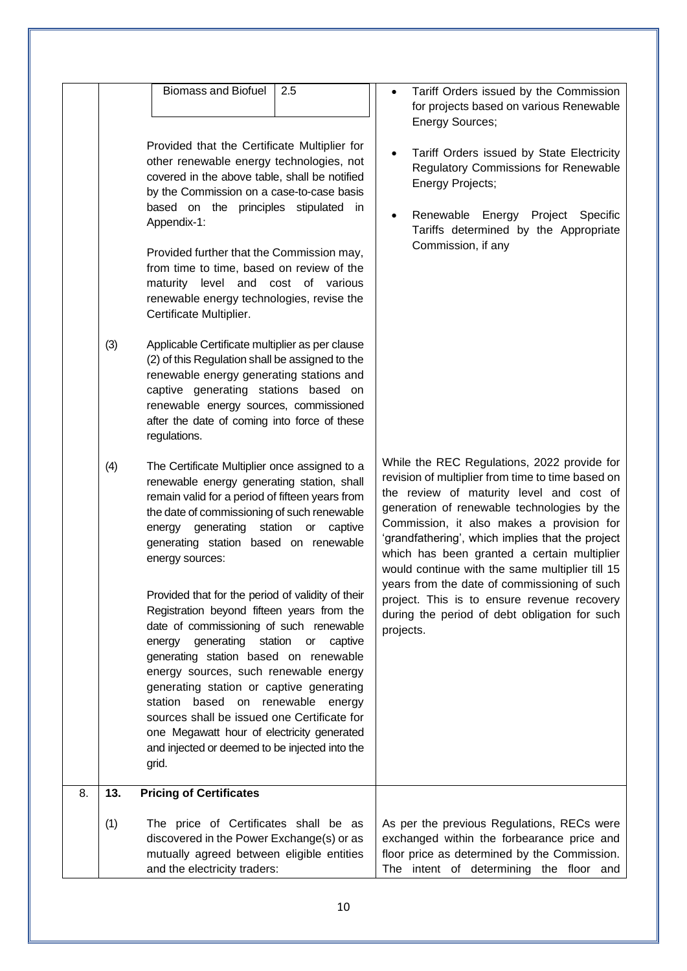| (3)<br>(4) | <b>Biomass and Biofuel</b><br>2.5<br>Provided that the Certificate Multiplier for<br>other renewable energy technologies, not<br>covered in the above table, shall be notified<br>by the Commission on a case-to-case basis<br>based on the principles stipulated in<br>Appendix-1:<br>Provided further that the Commission may,<br>from time to time, based on review of the<br>maturity level and cost of various<br>renewable energy technologies, revise the<br>Certificate Multiplier.<br>Applicable Certificate multiplier as per clause<br>(2) of this Regulation shall be assigned to the<br>renewable energy generating stations and<br>captive generating stations based on<br>renewable energy sources, commissioned<br>after the date of coming into force of these<br>regulations.<br>The Certificate Multiplier once assigned to a<br>renewable energy generating station, shall<br>remain valid for a period of fifteen years from<br>the date of commissioning of such renewable<br>energy generating station or<br>captive<br>generating station based on renewable<br>energy sources:<br>Provided that for the period of validity of their<br>Registration beyond fifteen years from the<br>date of commissioning of such renewable<br>station or captive<br>energy generating<br>generating station based on renewable<br>energy sources, such renewable energy<br>generating station or captive generating<br>station based on renewable energy<br>sources shall be issued one Certificate for<br>one Megawatt hour of electricity generated<br>and injected or deemed to be injected into the | Tariff Orders issued by the Commission<br>for projects based on various Renewable<br><b>Energy Sources;</b><br>Tariff Orders issued by State Electricity<br><b>Regulatory Commissions for Renewable</b><br><b>Energy Projects;</b><br>Renewable Energy<br>Project Specific<br>Tariffs determined by the Appropriate<br>Commission, if any<br>While the REC Regulations, 2022 provide for<br>revision of multiplier from time to time based on<br>the review of maturity level and cost of<br>generation of renewable technologies by the<br>Commission, it also makes a provision for<br>'grandfathering', which implies that the project<br>which has been granted a certain multiplier<br>would continue with the same multiplier till 15<br>years from the date of commissioning of such<br>project. This is to ensure revenue recovery<br>during the period of debt obligation for such<br>projects. |
|------------|--------------------------------------------------------------------------------------------------------------------------------------------------------------------------------------------------------------------------------------------------------------------------------------------------------------------------------------------------------------------------------------------------------------------------------------------------------------------------------------------------------------------------------------------------------------------------------------------------------------------------------------------------------------------------------------------------------------------------------------------------------------------------------------------------------------------------------------------------------------------------------------------------------------------------------------------------------------------------------------------------------------------------------------------------------------------------------------------------------------------------------------------------------------------------------------------------------------------------------------------------------------------------------------------------------------------------------------------------------------------------------------------------------------------------------------------------------------------------------------------------------------------------------------------------------------------------------------------------------------------|----------------------------------------------------------------------------------------------------------------------------------------------------------------------------------------------------------------------------------------------------------------------------------------------------------------------------------------------------------------------------------------------------------------------------------------------------------------------------------------------------------------------------------------------------------------------------------------------------------------------------------------------------------------------------------------------------------------------------------------------------------------------------------------------------------------------------------------------------------------------------------------------------------|
| 8.<br>13.  | grid.<br><b>Pricing of Certificates</b>                                                                                                                                                                                                                                                                                                                                                                                                                                                                                                                                                                                                                                                                                                                                                                                                                                                                                                                                                                                                                                                                                                                                                                                                                                                                                                                                                                                                                                                                                                                                                                            |                                                                                                                                                                                                                                                                                                                                                                                                                                                                                                                                                                                                                                                                                                                                                                                                                                                                                                          |
| (1)        | The price of Certificates shall be as<br>discovered in the Power Exchange(s) or as<br>mutually agreed between eligible entities<br>and the electricity traders:                                                                                                                                                                                                                                                                                                                                                                                                                                                                                                                                                                                                                                                                                                                                                                                                                                                                                                                                                                                                                                                                                                                                                                                                                                                                                                                                                                                                                                                    | As per the previous Regulations, RECs were<br>exchanged within the forbearance price and<br>floor price as determined by the Commission.<br>The intent of determining the floor and                                                                                                                                                                                                                                                                                                                                                                                                                                                                                                                                                                                                                                                                                                                      |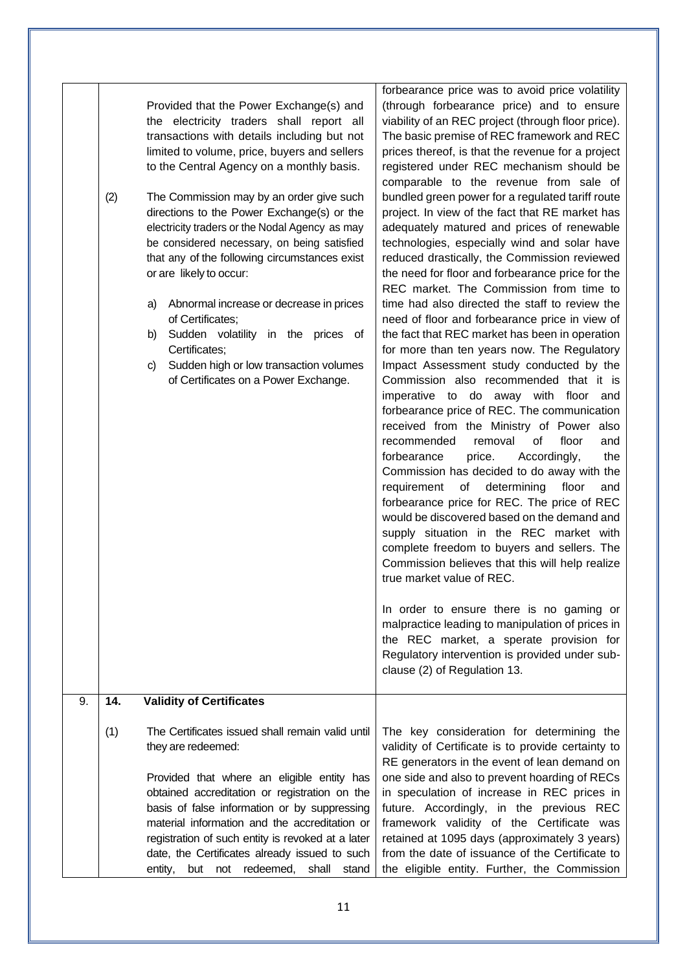|    | (2) | Provided that the Power Exchange(s) and<br>the electricity traders shall report all<br>transactions with details including but not<br>limited to volume, price, buyers and sellers<br>to the Central Agency on a monthly basis.<br>The Commission may by an order give such<br>directions to the Power Exchange(s) or the<br>electricity traders or the Nodal Agency as may<br>be considered necessary, on being satisfied<br>that any of the following circumstances exist<br>or are likely to occur:<br>a) Abnormal increase or decrease in prices<br>of Certificates;<br>b) Sudden volatility in the prices of<br>Certificates;<br>Sudden high or low transaction volumes<br>C)<br>of Certificates on a Power Exchange. | forbearance price was to avoid price volatility<br>(through forbearance price) and to ensure<br>viability of an REC project (through floor price).<br>The basic premise of REC framework and REC<br>prices thereof, is that the revenue for a project<br>registered under REC mechanism should be<br>comparable to the revenue from sale of<br>bundled green power for a regulated tariff route<br>project. In view of the fact that RE market has<br>adequately matured and prices of renewable<br>technologies, especially wind and solar have<br>reduced drastically, the Commission reviewed<br>the need for floor and forbearance price for the<br>REC market. The Commission from time to<br>time had also directed the staff to review the<br>need of floor and forbearance price in view of<br>the fact that REC market has been in operation<br>for more than ten years now. The Regulatory<br>Impact Assessment study conducted by the<br>Commission also recommended that it is<br>imperative to do away with floor and<br>forbearance price of REC. The communication<br>received from the Ministry of Power also<br>floor<br>recommended<br>removal<br>0f<br>and<br>forbearance<br>price.<br>the<br>Accordingly,<br>Commission has decided to do away with the<br>requirement<br>of determining<br>floor<br>and<br>forbearance price for REC. The price of REC<br>would be discovered based on the demand and<br>supply situation in the REC market with<br>complete freedom to buyers and sellers. The<br>Commission believes that this will help realize<br>true market value of REC.<br>In order to ensure there is no gaming or<br>malpractice leading to manipulation of prices in<br>the REC market, a sperate provision for<br>Regulatory intervention is provided under sub-<br>clause (2) of Regulation 13. |
|----|-----|----------------------------------------------------------------------------------------------------------------------------------------------------------------------------------------------------------------------------------------------------------------------------------------------------------------------------------------------------------------------------------------------------------------------------------------------------------------------------------------------------------------------------------------------------------------------------------------------------------------------------------------------------------------------------------------------------------------------------|-----------------------------------------------------------------------------------------------------------------------------------------------------------------------------------------------------------------------------------------------------------------------------------------------------------------------------------------------------------------------------------------------------------------------------------------------------------------------------------------------------------------------------------------------------------------------------------------------------------------------------------------------------------------------------------------------------------------------------------------------------------------------------------------------------------------------------------------------------------------------------------------------------------------------------------------------------------------------------------------------------------------------------------------------------------------------------------------------------------------------------------------------------------------------------------------------------------------------------------------------------------------------------------------------------------------------------------------------------------------------------------------------------------------------------------------------------------------------------------------------------------------------------------------------------------------------------------------------------------------------------------------------------------------------------------------------------------------------------------------------------------------------------------------------------------------------------------|
| 9. | 14. | <b>Validity of Certificates</b>                                                                                                                                                                                                                                                                                                                                                                                                                                                                                                                                                                                                                                                                                            |                                                                                                                                                                                                                                                                                                                                                                                                                                                                                                                                                                                                                                                                                                                                                                                                                                                                                                                                                                                                                                                                                                                                                                                                                                                                                                                                                                                                                                                                                                                                                                                                                                                                                                                                                                                                                                   |
|    | (1) | The Certificates issued shall remain valid until<br>they are redeemed:<br>Provided that where an eligible entity has<br>obtained accreditation or registration on the<br>basis of false information or by suppressing<br>material information and the accreditation or<br>registration of such entity is revoked at a later<br>date, the Certificates already issued to such<br>but not redeemed,<br>entity,<br>shall<br>stand                                                                                                                                                                                                                                                                                             | The key consideration for determining the<br>validity of Certificate is to provide certainty to<br>RE generators in the event of lean demand on<br>one side and also to prevent hoarding of RECs<br>in speculation of increase in REC prices in<br>future. Accordingly, in the previous REC<br>framework validity of the Certificate was<br>retained at 1095 days (approximately 3 years)<br>from the date of issuance of the Certificate to<br>the eligible entity. Further, the Commission                                                                                                                                                                                                                                                                                                                                                                                                                                                                                                                                                                                                                                                                                                                                                                                                                                                                                                                                                                                                                                                                                                                                                                                                                                                                                                                                      |